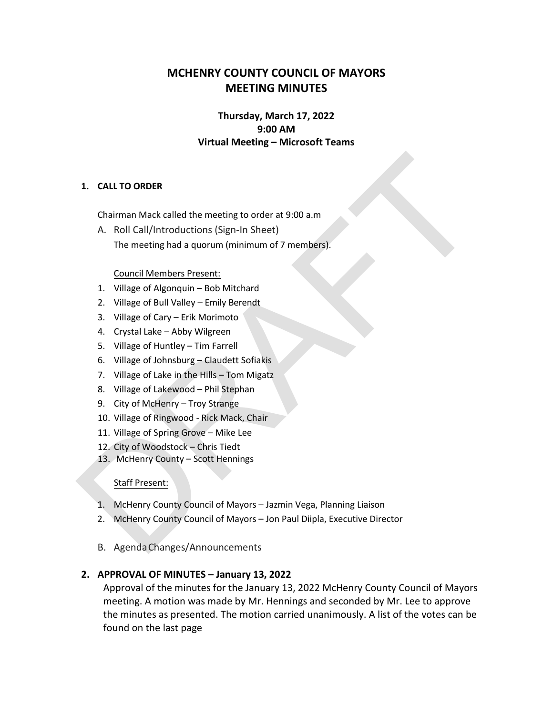# **MCHENRY COUNTY COUNCIL OF MAYORS MEETING MINUTES**

## **Thursday, March 17, 2022 9:00 AM Virtual Meeting – Microsoft Teams**

#### **1. CALL TO ORDER**

Chairman Mack called the meeting to order at 9:00 a.m

1. CALL TO ORDER<br>
Chairman Mack called the meeting to order at 9:00 a.m<br>
A. Roll Call/Introductions (Sign-In Sheet)<br>
The meeting had a quorum (minimum of 7 members).<br>
Council Members Present:<br>
1. Village of Gally Valley – A. Roll Call/Introductions (Sign-In Sheet) The meeting had a quorum (minimum of 7 members).

#### Council Members Present:

- 1. Village of Algonquin Bob Mitchard
- 2. Village of Bull Valley Emily Berendt
- 3. Village of Cary Erik Morimoto
- 4. Crystal Lake Abby Wilgreen
- 5. Village of Huntley Tim Farrell
- 6. Village of Johnsburg Claudett Sofiakis
- 7. Village of Lake in the Hills Tom Migatz
- 8. Village of Lakewood Phil Stephan
- 9. City of McHenry Troy Strange
- 10. Village of Ringwood Rick Mack, Chair
- 11. Village of Spring Grove Mike Lee
- 12. City of Woodstock Chris Tiedt
- 13. McHenry County Scott Hennings

#### Staff Present:

- 1. McHenry County Council of Mayors Jazmin Vega, Planning Liaison
- 2. McHenry County Council of Mayors Jon Paul Diipla, Executive Director
- B. AgendaChanges/Announcements

## **2. APPROVAL OF MINUTES – January 13, 2022**

Approval of the minutes for the January 13, 2022 McHenry County Council of Mayors meeting. A motion was made by Mr. Hennings and seconded by Mr. Lee to approve the minutes as presented. The motion carried unanimously. A list of the votes can be found on the last page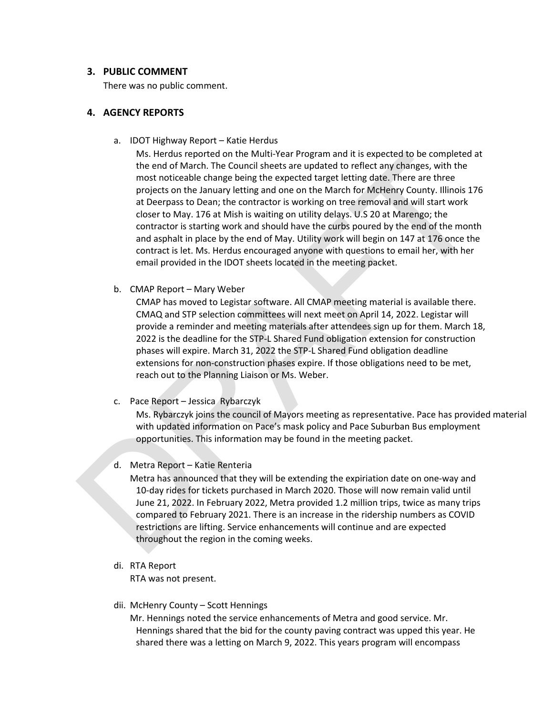#### **3. PUBLIC COMMENT**

There was no public comment.

#### **4. AGENCY REPORTS**

a. IDOT Highway Report – Katie Herdus

Ms. Herdus reported on the Multi-Year Program and it is expected to be completed at<br>the end of March. The Council sheets are updated to reflect any changes, with the<br>most ontceable change being the expected rarge telting d Ms. Herdus reported on the Multi-Year Program and it is expected to be completed at the end of March. The Council sheets are updated to reflect any changes, with the most noticeable change being the expected target letting date. There are three projects on the January letting and one on the March for McHenry County. Illinois 176 at Deerpass to Dean; the contractor is working on tree removal and will start work closer to May. 176 at Mish is waiting on utility delays. U.S 20 at Marengo; the contractor is starting work and should have the curbs poured by the end of the month and asphalt in place by the end of May. Utility work will begin on 147 at 176 once the contract is let. Ms. Herdus encouraged anyone with questions to email her, with her email provided in the IDOT sheets located in the meeting packet.

b. CMAP Report – Mary Weber

CMAP has moved to Legistar software. All CMAP meeting material is available there. CMAQ and STP selection committees will next meet on April 14, 2022. Legistar will provide a reminder and meeting materials after attendees sign up for them. March 18, 2022 is the deadline for the STP-L Shared Fund obligation extension for construction phases will expire. March 31, 2022 the STP-L Shared Fund obligation deadline extensions for non-construction phases expire. If those obligations need to be met, reach out to the Planning Liaison or Ms. Weber.

c. Pace Report – Jessica Rybarczyk

Ms. Rybarczyk joins the council of Mayors meeting as representative. Pace has provided material with updated information on Pace's mask policy and Pace Suburban Bus employment opportunities. This information may be found in the meeting packet.

d. Metra Report – Katie Renteria

Metra has announced that they will be extending the expiriation date on one-way and 10-day rides for tickets purchased in March 2020. Those will now remain valid until June 21, 2022. In February 2022, Metra provided 1.2 million trips, twice as many trips compared to February 2021. There is an increase in the ridership numbers as COVID restrictions are lifting. Service enhancements will continue and are expected throughout the region in the coming weeks.

di. RTA Report

RTA was not present.

dii. McHenry County – Scott Hennings

Mr. Hennings noted the service enhancements of Metra and good service. Mr. Hennings shared that the bid for the county paving contract was upped this year. He shared there was a letting on March 9, 2022. This years program will encompass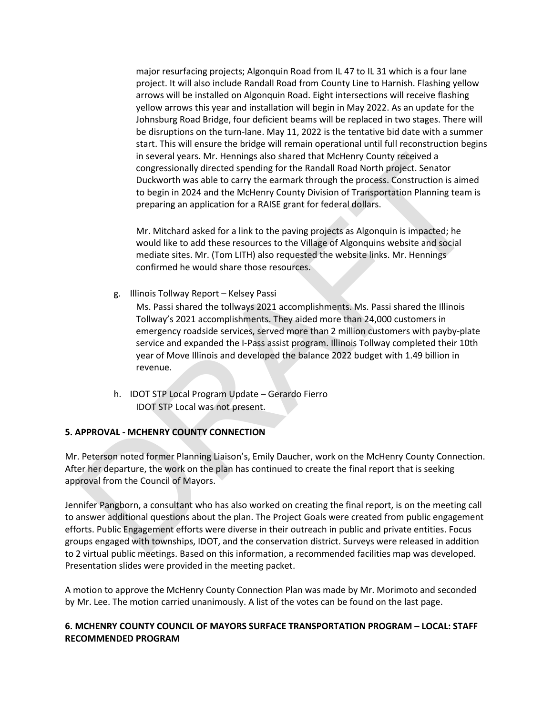major resurfacing projects; Algonquin Road from IL 47 to IL 31 which is a four lane project. It will also include Randall Road from County Line to Harnish. Flashing yellow arrows will be installed on Algonquin Road. Eight intersections will receive flashing yellow arrows this year and installation will begin in May 2022. As an update for the Johnsburg Road Bridge, four deficient beams will be replaced in two stages. There will be disruptions on the turn-lane. May 11, 2022 is the tentative bid date with a summer start. This will ensure the bridge will remain operational until full reconstruction begins in several years. Mr. Hennings also shared that McHenry County received a congressionally directed spending for the Randall Road North project. Senator Duckworth was able to carry the earmark through the process. Construction is aimed to begin in 2024 and the McHenry County Division of Transportation Planning team is preparing an application for a RAISE grant for federal dollars.

Mr. Mitchard asked for a link to the paving projects as Algonquin is impacted; he would like to add these resources to the Village of Algonquins website and social mediate sites. Mr. (Tom LITH) also requested the website links. Mr. Hennings confirmed he would share those resources.

g. Illinois Tollway Report – Kelsey Passi

in several years. Mr. Hennings also shared that McHenny County received a<br>congressionally directed spending for the Randall Road North project. Senator<br>Duckworth was able to carry the earmark through the process. Construct Ms. Passi shared the tollways 2021 accomplishments. Ms. Passi shared the Illinois Tollway's 2021 accomplishments. They aided more than 24,000 customers in emergency roadside services, served more than 2 million customers with payby-plate service and expanded the I-Pass assist program. Illinois Tollway completed their 10th year of Move Illinois and developed the balance 2022 budget with 1.49 billion in revenue.

h. IDOT STP Local Program Update – Gerardo Fierro IDOT STP Local was not present.

#### **5. APPROVAL - MCHENRY COUNTY CONNECTION**

Mr. Peterson noted former Planning Liaison's, Emily Daucher, work on the McHenry County Connection. After her departure, the work on the plan has continued to create the final report that is seeking approval from the Council of Mayors.

Jennifer Pangborn, a consultant who has also worked on creating the final report, is on the meeting call to answer additional questions about the plan. The Project Goals were created from public engagement efforts. Public Engagement efforts were diverse in their outreach in public and private entities. Focus groups engaged with townships, IDOT, and the conservation district. Surveys were released in addition to 2 virtual public meetings. Based on this information, a recommended facilities map was developed. Presentation slides were provided in the meeting packet.

A motion to approve the McHenry County Connection Plan was made by Mr. Morimoto and seconded by Mr. Lee. The motion carried unanimously. A list of the votes can be found on the last page.

#### **6. MCHENRY COUNTY COUNCIL OF MAYORS SURFACE TRANSPORTATION PROGRAM – LOCAL: STAFF RECOMMENDED PROGRAM**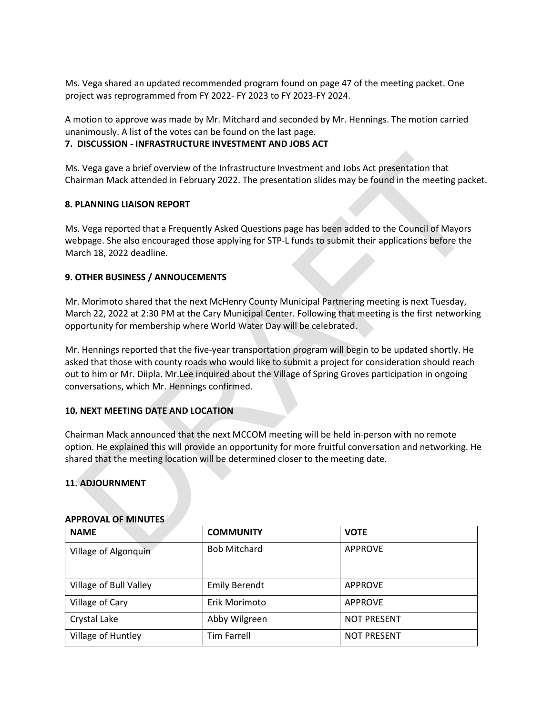Ms. Vega shared an updated recommended program found on page 47 of the meeting packet. One project was reprogrammed from FY 2022- FY 2023 to FY 2023-FY 2024.

A motion to approve was made by Mr. Mitchard and seconded by Mr. Hennings. The motion carried unanimously. A list of the votes can be found on the last page.

#### **7. DISCUSSION - INFRASTRUCTURE INVESTMENT AND JOBS ACT**

Ms. Vega gave a brief overview of the Infrastructure Investment and Jobs Act presentation that Chairman Mack attended in February 2022. The presentation slides may be found in the meeting packet.

#### **8. PLANNING LIAISON REPORT**

Ms. Vega reported that a Frequently Asked Questions page has been added to the Council of Mayors webpage. She also encouraged those applying for STP-L funds to submit their applications before the March 18, 2022 deadline.

## **9. OTHER BUSINESS / ANNOUCEMENTS**

Mr. Morimoto shared that the next McHenry County Municipal Partnering meeting is next Tuesday, March 22, 2022 at 2:30 PM at the Cary Municipal Center. Following that meeting is the first networking opportunity for membership where World Water Day will be celebrated.

S. Vega gave a brief overview of the Infrastructure Investment and Jobs Act presentation that<br>airman Mack attended in February 2022. The presentation slides may be found in the meeting packet.<br>**PLANNING LIAISON REPORT**<br>**PL** Mr. Hennings reported that the five-year transportation program will begin to be updated shortly. He asked that those with county roads who would like to submit a project for consideration should reach out to him or Mr. Diipla. Mr.Lee inquired about the Village of Spring Groves participation in ongoing conversations, which Mr. Hennings confirmed.

## **10. NEXT MEETING DATE AND LOCATION**

Chairman Mack announced that the next MCCOM meeting will be held in-person with no remote option. He explained this will provide an opportunity for more fruitful conversation and networking. He shared that the meeting location will be determined closer to the meeting date.

#### **11. ADJOURNMENT**

| <b>NAME</b>            | <b>COMMUNITY</b>     | <b>VOTE</b>        |
|------------------------|----------------------|--------------------|
| Village of Algonquin   | <b>Bob Mitchard</b>  | <b>APPROVE</b>     |
| Village of Bull Valley | <b>Emily Berendt</b> | <b>APPROVE</b>     |
| Village of Cary        | Erik Morimoto        | <b>APPROVE</b>     |
| Crystal Lake           | Abby Wilgreen        | <b>NOT PRESENT</b> |
| Village of Huntley     | <b>Tim Farrell</b>   | <b>NOT PRESENT</b> |

#### **APPROVAL OF MINUTES**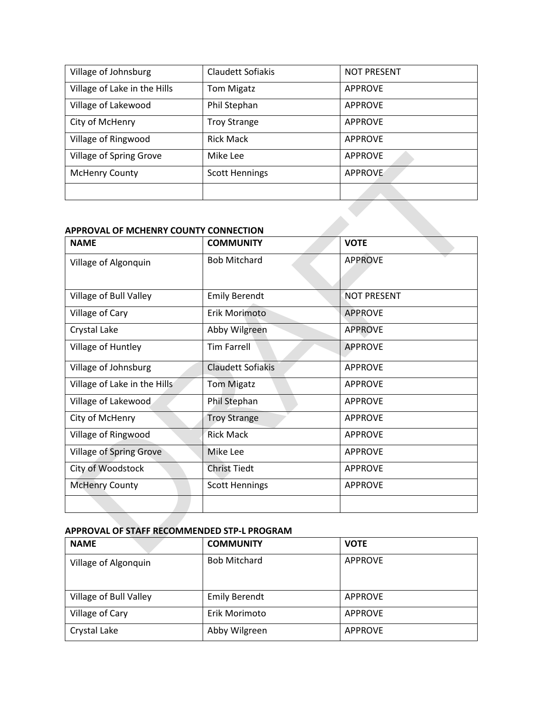| Village of Johnsburg         | Claudett Sofiakis     | <b>NOT PRESENT</b> |
|------------------------------|-----------------------|--------------------|
| Village of Lake in the Hills | <b>Tom Migatz</b>     | <b>APPROVE</b>     |
| Village of Lakewood          | Phil Stephan          | <b>APPROVE</b>     |
| City of McHenry              | <b>Troy Strange</b>   | <b>APPROVE</b>     |
| Village of Ringwood          | <b>Rick Mack</b>      | <b>APPROVE</b>     |
| Village of Spring Grove      | Mike Lee              | <b>APPROVE</b>     |
| <b>McHenry County</b>        | <b>Scott Hennings</b> | <b>APPROVE</b>     |
|                              |                       |                    |

### **APPROVAL OF MCHENRY COUNTY CONNECTION**

| Village of Spring Grove                                    | Mike Lee                 | <b>APPROVE</b>     |
|------------------------------------------------------------|--------------------------|--------------------|
| <b>McHenry County</b>                                      | <b>Scott Hennings</b>    | <b>APPROVE</b>     |
|                                                            |                          |                    |
|                                                            |                          |                    |
| APPROVAL OF MCHENRY COUNTY CONNECTION                      |                          |                    |
| <b>NAME</b>                                                | <b>COMMUNITY</b>         | <b>VOTE</b>        |
| Village of Algonquin                                       | <b>Bob Mitchard</b>      | <b>APPROVE</b>     |
|                                                            |                          |                    |
| Village of Bull Valley                                     | <b>Emily Berendt</b>     | <b>NOT PRESENT</b> |
| Village of Cary                                            | Erik Morimoto            | <b>APPROVE</b>     |
| Crystal Lake                                               | Abby Wilgreen            | <b>APPROVE</b>     |
| Village of Huntley                                         | <b>Tim Farrell</b>       | <b>APPROVE</b>     |
| Village of Johnsburg                                       | <b>Claudett Sofiakis</b> | <b>APPROVE</b>     |
| Village of Lake in the Hills                               | <b>Tom Migatz</b>        | <b>APPROVE</b>     |
| Village of Lakewood                                        | Phil Stephan             | <b>APPROVE</b>     |
| City of McHenry                                            | <b>Troy Strange</b>      | <b>APPROVE</b>     |
| Village of Ringwood                                        | <b>Rick Mack</b>         | <b>APPROVE</b>     |
| <b>Village of Spring Grove</b>                             | Mike Lee                 | <b>APPROVE</b>     |
| City of Woodstock                                          | <b>Christ Tiedt</b>      | <b>APPROVE</b>     |
| <b>McHenry County</b>                                      | <b>Scott Hennings</b>    | <b>APPROVE</b>     |
|                                                            |                          |                    |
|                                                            |                          |                    |
| APPROVAL OF STAFF RECOMMENDED STP-L PROGRAM<br><b>NAME</b> | <b>COMMUNITY</b>         | <b>VOTE</b>        |
|                                                            |                          |                    |

## **APPROVAL OF STAFF RECOMMENDED STP-L PROGRAM**

| <b>NAME</b>            | <b>COMMUNITY</b>     | <b>VOTE</b>    |
|------------------------|----------------------|----------------|
| Village of Algonquin   | <b>Bob Mitchard</b>  | <b>APPROVE</b> |
|                        |                      |                |
| Village of Bull Valley | <b>Emily Berendt</b> | <b>APPROVE</b> |
| Village of Cary        | Erik Morimoto        | <b>APPROVE</b> |
| Crystal Lake           | Abby Wilgreen        | <b>APPROVE</b> |